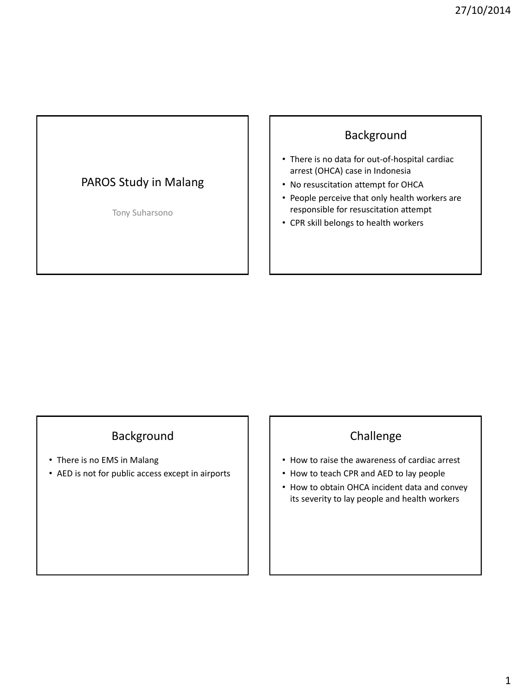# PAROS Study in Malang

Tony Suharsono

## Background

- There is no data for out-of-hospital cardiac arrest (OHCA) case in Indonesia
- No resuscitation attempt for OHCA
- People perceive that only health workers are responsible for resuscitation attempt
- CPR skill belongs to health workers

## Background

- There is no EMS in Malang
- AED is not for public access except in airports

# Challenge

- How to raise the awareness of cardiac arrest
- How to teach CPR and AED to lay people
- How to obtain OHCA incident data and convey its severity to lay people and health workers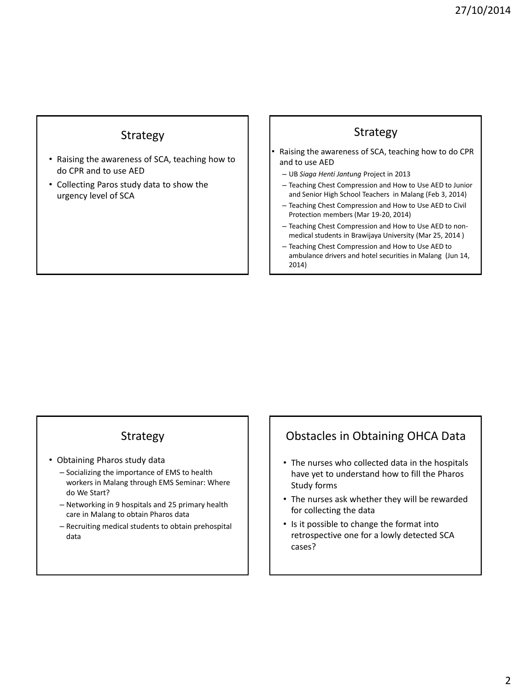## Strategy

- Raising the awareness of SCA, teaching how to do CPR and to use AED
- Collecting Paros study data to show the urgency level of SCA

## Strategy

- Raising the awareness of SCA, teaching how to do CPR and to use AED
	- UB *Siaga Henti Jantung* Project in 2013
	- Teaching Chest Compression and How to Use AED to Junior and Senior High School Teachers in Malang (Feb 3, 2014)
	- Teaching Chest Compression and How to Use AED to Civil Protection members (Mar 19-20, 2014)
	- Teaching Chest Compression and How to Use AED to nonmedical students in Brawijaya University (Mar 25, 2014 )
	- Teaching Chest Compression and How to Use AED to ambulance drivers and hotel securities in Malang (Jun 14, 2014)

## Strategy

- Obtaining Pharos study data
	- Socializing the importance of EMS to health workers in Malang through EMS Seminar: Where do We Start?
	- Networking in 9 hospitals and 25 primary health care in Malang to obtain Pharos data
	- Recruiting medical students to obtain prehospital data

# Obstacles in Obtaining OHCA Data

- The nurses who collected data in the hospitals have yet to understand how to fill the Pharos Study forms
- The nurses ask whether they will be rewarded for collecting the data
- Is it possible to change the format into retrospective one for a lowly detected SCA cases?